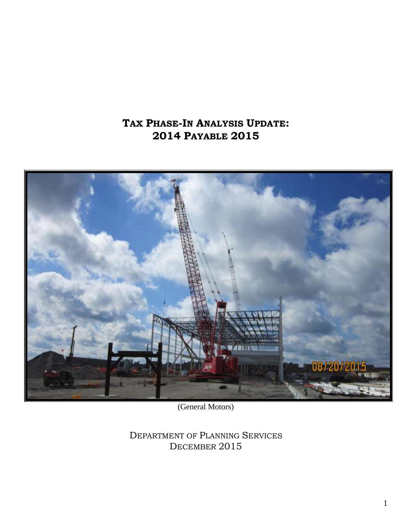# **TAX PHASE-IN ANALYSIS UPDATE: 2014 PAYABLE 2015**



(General Motors)

DEPARTMENT OF PLANNING SERVICES DECEMBER 2015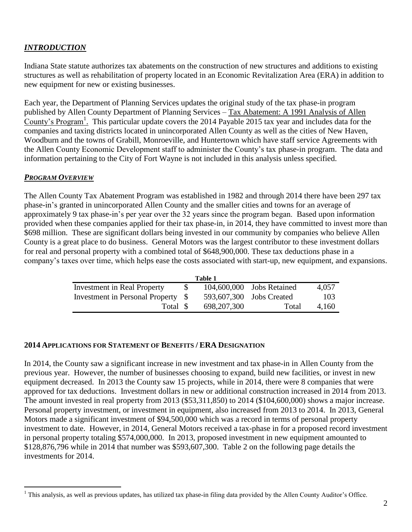# *INTRODUCTION*

Indiana State statute authorizes tax abatements on the construction of new structures and additions to existing structures as well as rehabilitation of property located in an Economic Revitalization Area (ERA) in addition to new equipment for new or existing businesses.

Each year, the Department of Planning Services updates the original study of the tax phase-in program published by Allen County Department of Planning Services – Tax Abatement: A 1991 Analysis of Allen County's Program<sup>1</sup>. This particular update covers the 2014 Payable 2015 tax year and includes data for the companies and taxing districts located in unincorporated Allen County as well as the cities of New Haven, Woodburn and the towns of Grabill, Monroeville, and Huntertown which have staff service Agreements with the Allen County Economic Development staff to administer the County's tax phase-in program. The data and information pertaining to the City of Fort Wayne is not included in this analysis unless specified.

## *PROGRAM OVERVIEW*

The Allen County Tax Abatement Program was established in 1982 and through 2014 there have been 297 tax phase-in's granted in unincorporated Allen County and the smaller cities and towns for an average of approximately 9 tax phase-in's per year over the 32 years since the program began. Based upon information provided when these companies applied for their tax phase-in, in 2014, they have committed to invest more than \$698 million. These are significant dollars being invested in our community by companies who believe Allen County is a great place to do business. General Motors was the largest contributor to these investment dollars for real and personal property with a combined total of \$648,900,000. These tax deductions phase in a company's taxes over time, which helps ease the costs associated with start-up, new equipment, and expansions.

| Table 1                            |  |               |                           |       |  |
|------------------------------------|--|---------------|---------------------------|-------|--|
| <b>Investment in Real Property</b> |  |               | 104,600,000 Jobs Retained | 4,057 |  |
| Investment in Personal Property \$ |  |               | 593,607,300 Jobs Created  | 103   |  |
| Total \$                           |  | 698, 207, 300 | Total                     | 4.160 |  |

## **2014 APPLICATIONS FOR STATEMENT OF BENEFITS / ERA DESIGNATION**

In 2014, the County saw a significant increase in new investment and tax phase-in in Allen County from the previous year. However, the number of businesses choosing to expand, build new facilities, or invest in new equipment decreased. In 2013 the County saw 15 projects, while in 2014, there were 8 companies that were approved for tax deductions. Investment dollars in new or additional construction increased in 2014 from 2013. The amount invested in real property from 2013 (\$53,311,850) to 2014 (\$104,600,000) shows a major increase. Personal property investment, or investment in equipment, also increased from 2013 to 2014. In 2013, General Motors made a significant investment of \$94,500,000 which was a record in terms of personal property investment to date. However, in 2014, General Motors received a tax-phase in for a proposed record investment in personal property totaling \$574,000,000. In 2013, proposed investment in new equipment amounted to \$128,876,796 while in 2014 that number was \$593,607,300. Table 2 on the following page details the investments for 2014.

 $\overline{a}$ <sup>1</sup> This analysis, as well as previous updates, has utilized tax phase-in filing data provided by the Allen County Auditor's Office.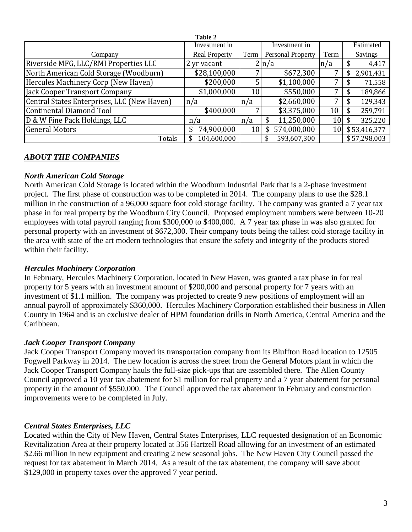|                                             | Table 2              |         |                   |      |                |
|---------------------------------------------|----------------------|---------|-------------------|------|----------------|
|                                             | Investment in        |         | Investment in     |      | Estimated      |
| Company                                     | <b>Real Property</b> | Term    | Personal Property | Term | <b>Savings</b> |
| Riverside MFG, LLC/RMI Properties LLC       | 2 yr vacant          |         | $2 \ln/a$         | n/a  | 4,417<br>ъ.    |
| North American Cold Storage (Woodburn)      | \$28,100,000         |         | \$672,300         |      | 2,901,431<br>S |
| Hercules Machinery Corp (New Haven)         | \$200,000            |         | \$1,100,000       | –    | 71,558         |
| Jack Cooper Transport Company               | \$1,000,000          | 10      | \$550,000         |      | 189,866<br>J.  |
| Central States Enterprises, LLC (New Haven) | n/a                  | $\ln/a$ | \$2,660,000       | 7    | 129,343        |
| <b>Continental Diamond Tool</b>             | \$400,000            |         | \$3,375,000       | 10   | 259,791        |
| D & W Fine Pack Holdings, LLC               | n/a                  | ln/a    | 11,250,000        | 10   | 325,220        |
| <b>General Motors</b>                       | 74,900,000           | 10      | 574,000,000<br>S  | 10   | \$53,416,377   |
| Totals                                      | 104,600,000          |         | 593,607,300       |      | \$57,298,003   |

# *ABOUT THE COMPANIES*

#### *North American Cold Storage*

North American Cold Storage is located within the Woodburn Industrial Park that is a 2-phase investment project. The first phase of construction was to be completed in 2014. The company plans to use the \$28.1 million in the construction of a 96,000 square foot cold storage facility. The company was granted a 7 year tax phase in for real property by the Woodburn City Council. Proposed employment numbers were between 10-20 employees with total payroll ranging from \$300,000 to \$400,000. A 7 year tax phase in was also granted for personal property with an investment of \$672,300. Their company touts being the tallest cold storage facility in the area with state of the art modern technologies that ensure the safety and integrity of the products stored within their facility.

#### *Hercules Machinery Corporation*

In February, Hercules Machinery Corporation, located in New Haven, was granted a tax phase in for real property for 5 years with an investment amount of \$200,000 and personal property for 7 years with an investment of \$1.1 million. The company was projected to create 9 new positions of employment will an annual payroll of approximately \$360,000. Hercules Machinery Corporation established their business in Allen County in 1964 and is an exclusive dealer of HPM foundation drills in North America, Central America and the Caribbean.

#### *Jack Cooper Transport Company*

Jack Cooper Transport Company moved its transportation company from its Bluffton Road location to 12505 Fogwell Parkway in 2014. The new location is across the street from the General Motors plant in which the Jack Cooper Transport Company hauls the full-size pick-ups that are assembled there. The Allen County Council approved a 10 year tax abatement for \$1 million for real property and a 7 year abatement for personal property in the amount of \$550,000. The Council approved the tax abatement in February and construction improvements were to be completed in July.

## *Central States Enterprises, LLC*

Located within the City of New Haven, Central States Enterprises, LLC requested designation of an Economic Revitalization Area at their property located at 356 Hartzell Road allowing for an investment of an estimated \$2.66 million in new equipment and creating 2 new seasonal jobs. The New Haven City Council passed the request for tax abatement in March 2014. As a result of the tax abatement, the company will save about \$129,000 in property taxes over the approved 7 year period.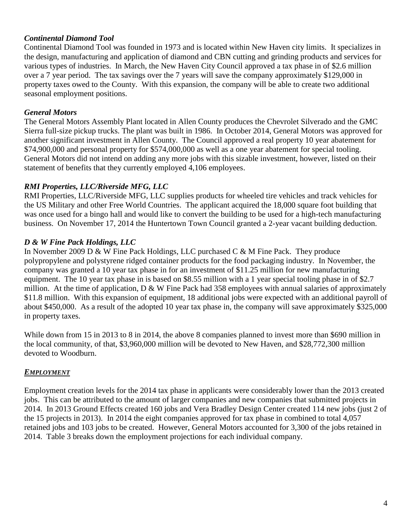# *Continental Diamond Tool*

Continental Diamond Tool was founded in 1973 and is located within New Haven city limits. It specializes in the design, manufacturing and application of diamond and CBN cutting and grinding products and services for various types of industries. In March, the New Haven City Council approved a tax phase in of \$2.6 million over a 7 year period. The tax savings over the 7 years will save the company approximately \$129,000 in property taxes owed to the County. With this expansion, the company will be able to create two additional seasonal employment positions.

# *General Motors*

The General Motors Assembly Plant located in Allen County produces the Chevrolet Silverado and the GMC Sierra full-size pickup trucks. The plant was built in 1986. In October 2014, General Motors was approved for another significant investment in Allen County. The Council approved a real property 10 year abatement for \$74,900,000 and personal property for \$574,000,000 as well as a one year abatement for special tooling. General Motors did not intend on adding any more jobs with this sizable investment, however, listed on their statement of benefits that they currently employed 4,106 employees.

# *RMI Properties, LLC/Riverside MFG, LLC*

RMI Properties, LLC/Riverside MFG, LLC supplies products for wheeled tire vehicles and track vehicles for the US Military and other Free World Countries. The applicant acquired the 18,000 square foot building that was once used for a bingo hall and would like to convert the building to be used for a high-tech manufacturing business. On November 17, 2014 the Huntertown Town Council granted a 2-year vacant building deduction.

# *D & W Fine Pack Holdings, LLC*

In November 2009 D & W Fine Pack Holdings, LLC purchased C & M Fine Pack. They produce polypropylene and polystyrene ridged container products for the food packaging industry. In November, the company was granted a 10 year tax phase in for an investment of \$11.25 million for new manufacturing equipment. The 10 year tax phase in is based on \$8.55 million with a 1 year special tooling phase in of \$2.7 million. At the time of application, D & W Fine Pack had 358 employees with annual salaries of approximately \$11.8 million. With this expansion of equipment, 18 additional jobs were expected with an additional payroll of about \$450,000. As a result of the adopted 10 year tax phase in, the company will save approximately \$325,000 in property taxes.

While down from 15 in 2013 to 8 in 2014, the above 8 companies planned to invest more than \$690 million in the local community, of that, \$3,960,000 million will be devoted to New Haven, and \$28,772,300 million devoted to Woodburn.

# *EMPLOYMENT*

Employment creation levels for the 2014 tax phase in applicants were considerably lower than the 2013 created jobs. This can be attributed to the amount of larger companies and new companies that submitted projects in 2014. In 2013 Ground Effects created 160 jobs and Vera Bradley Design Center created 114 new jobs (just 2 of the 15 projects in 2013). In 2014 the eight companies approved for tax phase in combined to total 4,057 retained jobs and 103 jobs to be created. However, General Motors accounted for 3,300 of the jobs retained in 2014. Table 3 breaks down the employment projections for each individual company.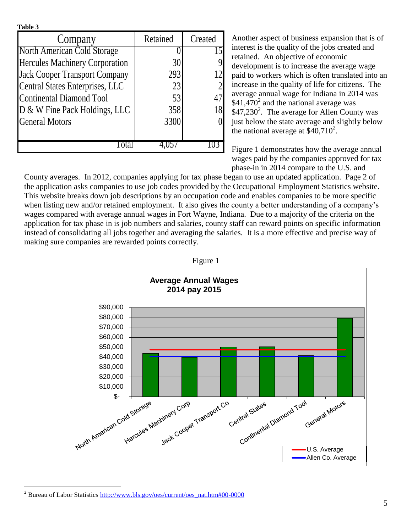| ١<br>п<br>L |
|-------------|
|-------------|

 $\overline{a}$ 

| Company                                | Retained | Created |
|----------------------------------------|----------|---------|
| North American Cold Storage            |          |         |
| <b>Hercules Machinery Corporation</b>  | 30       |         |
| <b>Jack Cooper Transport Company</b>   | 293      |         |
| <b>Central States Enterprises, LLC</b> | 23       |         |
| <b>Continental Diamond Tool</b>        | 53       |         |
| D & W Fine Pack Holdings, LLC          | 358      |         |
| <b>General Motors</b>                  | 3300     |         |
|                                        |          |         |
|                                        |          |         |

Another aspect of business expansion that is of interest is the quality of the jobs created and retained. An objective of economic development is to increase the average wage paid to workers which is often translated into an increase in the quality of life for citizens. The average annual wage for Indiana in 2014 was  $$41,470^2$  and the national average was  $$47,230^2$ . The average for Allen County was just below the state average and slightly below the national average at  $$40,710^2$ .

Figure 1 demonstrates how the average annual wages paid by the companies approved for tax phase-in in 2014 compare to the U.S. and

County averages. In 2012, companies applying for tax phase began to use an updated application. Page 2 of the application asks companies to use job codes provided by the Occupational Employment Statistics website. This website breaks down job descriptions by an occupation code and enables companies to be more specific when listing new and/or retained employment. It also gives the county a better understanding of a company's wages compared with average annual wages in Fort Wayne, Indiana. Due to a majority of the criteria on the application for tax phase in is job numbers and salaries, county staff can reward points on specific information instead of consolidating all jobs together and averaging the salaries. It is a more effective and precise way of making sure companies are rewarded points correctly.



Figure 1

<sup>&</sup>lt;sup>2</sup> Bureau of Labor Statistics [http://www.bls.gov/oes/current/oes\\_nat.htm#00-0000](http://www.bls.gov/oes/current/oes_nat.htm#00-0000)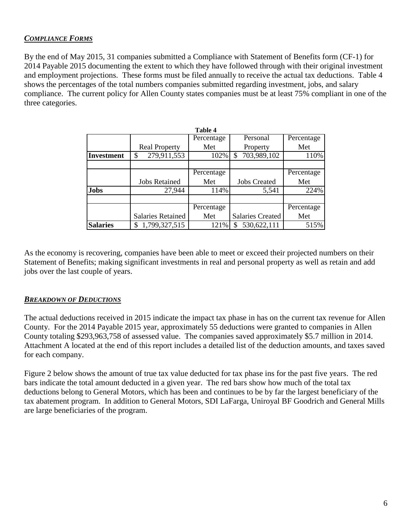# *COMPLIANCE FORMS*

By the end of May 2015, 31 companies submitted a Compliance with Statement of Benefits form (CF-1) for 2014 Payable 2015 documenting the extent to which they have followed through with their original investment and employment projections. These forms must be filed annually to receive the actual tax deductions. Table 4 shows the percentages of the total numbers companies submitted regarding investment, jobs, and salary compliance. The current policy for Allen County states companies must be at least 75% compliant in one of the three categories.

|                   |                          | <b>Table 4</b> |                         |            |
|-------------------|--------------------------|----------------|-------------------------|------------|
|                   |                          | Percentage     | Personal                | Percentage |
|                   | <b>Real Property</b>     | Met            | Property                | Met        |
| <b>Investment</b> | 279,911,553<br>\$        | 102%           | 703,989,102             | 110%       |
|                   |                          |                |                         |            |
|                   |                          | Percentage     |                         | Percentage |
|                   | <b>Jobs Retained</b>     | Met            | <b>Jobs Created</b>     | Met        |
| <b>Jobs</b>       | 27,944                   | 114%           | 5,541                   | 224%       |
|                   |                          |                |                         |            |
|                   |                          | Percentage     |                         | Percentage |
|                   | <b>Salaries Retained</b> | Met            | <b>Salaries Created</b> | Met        |
| <b>Salaries</b>   | 1,799,327,515            | 121%           | 530,622,111             | 515%       |

As the economy is recovering, companies have been able to meet or exceed their projected numbers on their Statement of Benefits; making significant investments in real and personal property as well as retain and add jobs over the last couple of years.

## *BREAKDOWN OF DEDUCTIONS*

The actual deductions received in 2015 indicate the impact tax phase in has on the current tax revenue for Allen County. For the 2014 Payable 2015 year, approximately 55 deductions were granted to companies in Allen County totaling \$293,963,758 of assessed value. The companies saved approximately \$5.7 million in 2014. Attachment A located at the end of this report includes a detailed list of the deduction amounts, and taxes saved for each company.

Figure 2 below shows the amount of true tax value deducted for tax phase ins for the past five years. The red bars indicate the total amount deducted in a given year. The red bars show how much of the total tax deductions belong to General Motors, which has been and continues to be by far the largest beneficiary of the tax abatement program. In addition to General Motors, SDI LaFarga, Uniroyal BF Goodrich and General Mills are large beneficiaries of the program.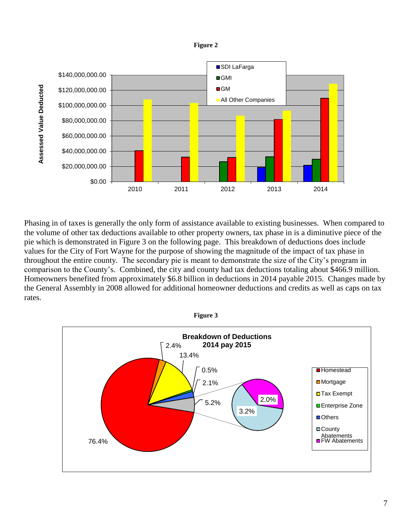![](_page_6_Figure_0.jpeg)

![](_page_6_Figure_1.jpeg)

Phasing in of taxes is generally the only form of assistance available to existing businesses. When compared to the volume of other tax deductions available to other property owners, tax phase in is a diminutive piece of the pie which is demonstrated in Figure 3 on the following page. This breakdown of deductions does include values for the City of Fort Wayne for the purpose of showing the magnitude of the impact of tax phase in throughout the entire county. The secondary pie is meant to demonstrate the size of the City's program in comparison to the County's. Combined, the city and county had tax deductions totaling about \$466.9 million. Homeowners benefited from approximately \$6.8 billion in deductions in 2014 payable 2015. Changes made by the General Assembly in 2008 allowed for additional homeowner deductions and credits as well as caps on tax rates.

![](_page_6_Figure_3.jpeg)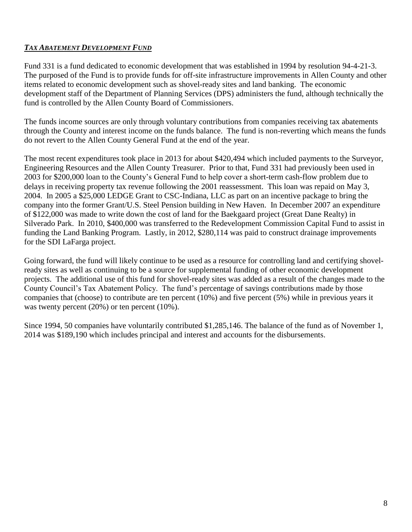# *TAX ABATEMENT DEVELOPMENT FUND*

Fund 331 is a fund dedicated to economic development that was established in 1994 by resolution 94-4-21-3. The purposed of the Fund is to provide funds for off-site infrastructure improvements in Allen County and other items related to economic development such as shovel-ready sites and land banking. The economic development staff of the Department of Planning Services (DPS) administers the fund, although technically the fund is controlled by the Allen County Board of Commissioners.

The funds income sources are only through voluntary contributions from companies receiving tax abatements through the County and interest income on the funds balance. The fund is non-reverting which means the funds do not revert to the Allen County General Fund at the end of the year.

The most recent expenditures took place in 2013 for about \$420,494 which included payments to the Surveyor, Engineering Resources and the Allen County Treasurer. Prior to that, Fund 331 had previously been used in 2003 for \$200,000 loan to the County's General Fund to help cover a short-term cash-flow problem due to delays in receiving property tax revenue following the 2001 reassessment. This loan was repaid on May 3, 2004. In 2005 a \$25,000 LEDGE Grant to CSC-Indiana, LLC as part on an incentive package to bring the company into the former Grant/U.S. Steel Pension building in New Haven. In December 2007 an expenditure of \$122,000 was made to write down the cost of land for the Baekgaard project (Great Dane Realty) in Silverado Park. In 2010, \$400,000 was transferred to the Redevelopment Commission Capital Fund to assist in funding the Land Banking Program. Lastly, in 2012, \$280,114 was paid to construct drainage improvements for the SDI LaFarga project.

Going forward, the fund will likely continue to be used as a resource for controlling land and certifying shovelready sites as well as continuing to be a source for supplemental funding of other economic development projects. The additional use of this fund for shovel-ready sites was added as a result of the changes made to the County Council's Tax Abatement Policy. The fund's percentage of savings contributions made by those companies that (choose) to contribute are ten percent (10%) and five percent (5%) while in previous years it was twenty percent (20%) or ten percent (10%).

Since 1994, 50 companies have voluntarily contributed \$1,285,146. The balance of the fund as of November 1, 2014 was \$189,190 which includes principal and interest and accounts for the disbursements.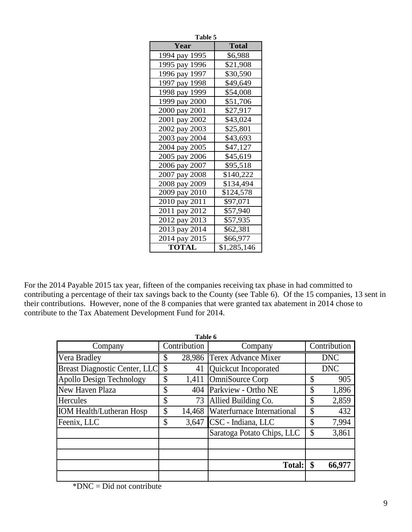| Table 5       |              |  |  |  |
|---------------|--------------|--|--|--|
| Year          | <b>Total</b> |  |  |  |
| 1994 pay 1995 | \$6,988      |  |  |  |
| 1995 pay 1996 | \$21,908     |  |  |  |
| 1996 pay 1997 | \$30,590     |  |  |  |
| 1997 pay 1998 | \$49,649     |  |  |  |
| 1998 pay 1999 | \$54,008     |  |  |  |
| 1999 pay 2000 | \$51,706     |  |  |  |
| 2000 pay 2001 | \$27,917     |  |  |  |
| 2001 pay 2002 | \$43,024     |  |  |  |
| 2002 pay 2003 | \$25,801     |  |  |  |
| 2003 pay 2004 | \$43,693     |  |  |  |
| 2004 pay 2005 | \$47,127     |  |  |  |
| 2005 pay 2006 | \$45,619     |  |  |  |
| 2006 pay 2007 | \$95,518     |  |  |  |
| 2007 pay 2008 | \$140,222    |  |  |  |
| 2008 pay 2009 | \$134,494    |  |  |  |
| 2009 pay 2010 | \$124,578    |  |  |  |
| 2010 pay 2011 | \$97,071     |  |  |  |
| 2011 pay 2012 | \$57,940     |  |  |  |
| 2012 pay 2013 | \$57,935     |  |  |  |
| 2013 pay 2014 | \$62,381     |  |  |  |
| 2014 pay 2015 | \$66,977     |  |  |  |
| <b>TOTAL</b>  | \$1,285,146  |  |  |  |

For the 2014 Payable 2015 tax year, fifteen of the companies receiving tax phase in had committed to contributing a percentage of their tax savings back to the County (see Table 6). Of the 15 companies, 13 sent in their contributions. However, none of the 8 companies that were granted tax abatement in 2014 chose to contribute to the Tax Abatement Development Fund for 2014.

|                                      | Table 6      |                            |              |
|--------------------------------------|--------------|----------------------------|--------------|
| Company                              | Contribution | Company                    | Contribution |
| Vera Bradley                         | \$           | 28,986 Terex Advance Mixer | <b>DNC</b>   |
| <b>Breast Diagnostic Center, LLC</b> | \$<br>41     | Quickcut Incoporated       | <b>DNC</b>   |
| Apollo Design Technology             | \$<br>1,411  | OmniSource Corp            | \$<br>905    |
| New Haven Plaza                      | \$<br>404    | Parkview - Ortho NE        | \$<br>1,896  |
| <b>Hercules</b>                      | \$<br>73     | Allied Building Co.        | \$<br>2,859  |
| <b>IOM Health/Lutheran Hosp</b>      | \$<br>14,468 | Waterfurnace International | \$<br>432    |
| Feenix, LLC                          | \$<br>3,647  | CSC - Indiana, LLC         | \$<br>7,994  |
|                                      |              | Saratoga Potato Chips, LLC | \$<br>3,861  |
|                                      |              |                            |              |
|                                      |              |                            |              |
|                                      |              | <b>Total:</b>              | \$<br>66,977 |
|                                      |              |                            |              |

 $*DNC = Did not contribute$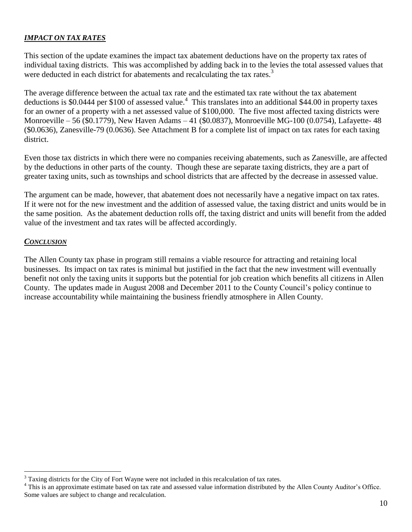#### *IMPACT ON TAX RATES*

This section of the update examines the impact tax abatement deductions have on the property tax rates of individual taxing districts. This was accomplished by adding back in to the levies the total assessed values that were deducted in each district for abatements and recalculating the tax rates.<sup>3</sup>

The average difference between the actual tax rate and the estimated tax rate without the tax abatement deductions is \$0.0444 per \$100 of assessed value.<sup>4</sup> This translates into an additional \$44.00 in property taxes for an owner of a property with a net assessed value of \$100,000. The five most affected taxing districts were Monroeville – 56 (\$0.1779), New Haven Adams – 41 (\$0.0837), Monroeville MG-100 (0.0754), Lafayette- 48 (\$0.0636), Zanesville-79 (0.0636). See Attachment B for a complete list of impact on tax rates for each taxing district.

Even those tax districts in which there were no companies receiving abatements, such as Zanesville, are affected by the deductions in other parts of the county. Though these are separate taxing districts, they are a part of greater taxing units, such as townships and school districts that are affected by the decrease in assessed value.

The argument can be made, however, that abatement does not necessarily have a negative impact on tax rates. If it were not for the new investment and the addition of assessed value, the taxing district and units would be in the same position. As the abatement deduction rolls off, the taxing district and units will benefit from the added value of the investment and tax rates will be affected accordingly.

#### *CONCLUSION*

 $\overline{a}$ 

The Allen County tax phase in program still remains a viable resource for attracting and retaining local businesses. Its impact on tax rates is minimal but justified in the fact that the new investment will eventually benefit not only the taxing units it supports but the potential for job creation which benefits all citizens in Allen County. The updates made in August 2008 and December 2011 to the County Council's policy continue to increase accountability while maintaining the business friendly atmosphere in Allen County.

 $3$  Taxing districts for the City of Fort Wayne were not included in this recalculation of tax rates.

<sup>&</sup>lt;sup>4</sup> This is an approximate estimate based on tax rate and assessed value information distributed by the Allen County Auditor's Office. Some values are subject to change and recalculation.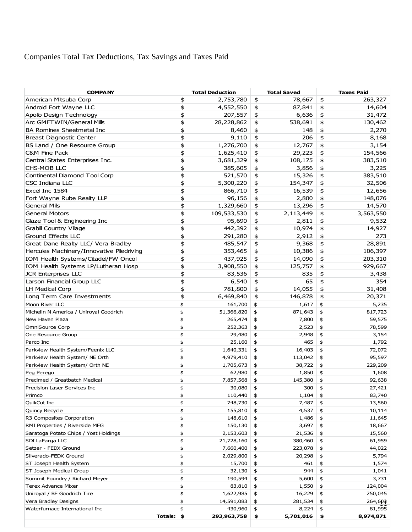# Companies Total Tax Deductions, Tax Savings and Taxes Paid

| <b>COMPANY</b>                            | <b>Total Deduction</b> | <b>Total Saved</b> | <b>Taxes Paid</b> |
|-------------------------------------------|------------------------|--------------------|-------------------|
| American Mitsuba Corp                     | \$                     | 78,667             | \$                |
|                                           | 2,753,780              | \$                 | 263,327           |
| Android Fort Wayne LLC                    | \$                     | \$                 | \$                |
|                                           | 4,552,550              | 87,841             | 14,604            |
| Apollo Design Technology                  | \$                     | \$                 | \$                |
|                                           | 207,557                | 6,636              | 31,472            |
| Arc GMFTWIN/General Mills                 | \$                     | \$                 | \$                |
|                                           | 28,228,862             | 538,691            | 130,462           |
| <b>BA Romines Sheetmetal Inc</b>          | \$                     | \$                 | \$                |
|                                           | 8,460                  | 148                | 2,270             |
| <b>Breast Diagnostic Center</b>           | \$                     | \$                 | \$                |
|                                           | 9,110                  | 206                | 8,168             |
| BS Land / One Resource Group              | \$                     | \$                 | \$                |
|                                           | 1,276,700              | 12,767             | 3,154             |
| C&M Fine Pack                             | \$                     | \$                 | \$                |
|                                           | 1,625,410              | 29,223             | 154,566           |
| Central States Enterprises Inc.           | \$                     | \$                 | \$                |
|                                           | 3,681,329              | 108,175            | 383,510           |
| CHS-MOB LLC                               | \$                     | \$                 | \$                |
|                                           | 385,605                | 3,856              | 3,225             |
| Continental Diamond Tool Corp             | \$                     | \$                 | \$                |
|                                           | 521,570                | 15,326             | 383,510           |
| <b>CSC Indiana LLC</b>                    | \$                     | \$                 | \$                |
|                                           | 5,300,220              | 154,347            | 32,506            |
| Excel Inc 1584                            | \$                     | \$                 | \$                |
|                                           | 866,710                | 16,539             | 12,656            |
|                                           | \$                     |                    |                   |
| Fort Wayne Rube Realty LLP                | 96,156                 | \$<br>2,800        | \$<br>148,076     |
| General Mills                             | \$                     | \$                 | \$                |
|                                           | 1,329,660              | 13,296             | 14,570            |
| <b>General Motors</b>                     | 109,533,530            | \$                 | \$                |
|                                           | \$                     | 2,113,449          | 3,563,550         |
| Glaze Tool & Engineering Inc              | \$                     | \$                 | 9,532             |
|                                           | 95,690                 | 2,811              | \$                |
| <b>Grabil Country Village</b>             | \$                     | \$                 | \$                |
|                                           | 442,392                | 10,974             | 14,927            |
| Ground Effects LLC                        | \$                     | \$                 | \$                |
|                                           | 291,280                | 2,912              | 273               |
| Great Dane Realty LLC/ Vera Bradley       | \$                     | \$                 | \$                |
|                                           | 485,547                | 9,368              | 28,891            |
| Hercules Machinery/Innovative Piledriving | \$                     | \$                 | \$                |
|                                           | 353,465                | 10,386             | 106,397           |
| IOM Health Systems/Citadel/FW Oncol       | \$                     | \$                 | \$                |
|                                           | 437,925                | 14,090             | 203,310           |
| IOM Health Systems LP/Lutheran Hosp       | \$                     | \$                 | \$                |
|                                           | 3,908,550              | 125,757            | 929,667           |
| <b>JCR Enterprises LLC</b>                | \$                     | \$                 | \$                |
|                                           | 83,536                 | 835                | 3,438             |
| Larson Financial Group LLC                | \$                     | 65                 | 354               |
|                                           | 6,540                  | \$                 | \$                |
| <b>LH Medical Corp</b>                    | \$                     | \$                 | \$                |
|                                           | 781,800                | 14,055             | 31,408            |
| Long Term Care Investments                | \$                     | \$                 | \$                |
|                                           | 6,469,840              | 146,878            | 20,371            |
| Moon River LLC                            | \$                     | \$                 | \$                |
|                                           | 161,700                | 1,617              | 5,235             |
| Michelin N America / Uniroyal Goodrich    | \$                     | \$                 | \$                |
|                                           | 51,366,820             | 871,643            | 817,723           |
| New Haven Plaza                           | \$                     | \$                 | \$                |
|                                           | 265,474                | 7,800              | 59,575            |
| OmniSource Corp                           | \$                     | \$                 | \$                |
|                                           | 252,363                | 2,523              | 78,599            |
| One Resource Group                        | \$                     | \$                 | \$                |
|                                           | 29,480                 | 2,948              | 3,154             |
| Parco Inc                                 | \$                     | \$                 | 1,792             |
|                                           | 25,160                 | 465                | \$                |
| Parkview Health System/Feenix LLC         | \$                     | \$                 | 72,072            |
|                                           | 1,640,331              | 16,403             | \$                |
| Parkview Health System/ NE Orth           | \$                     | \$                 | 95,597            |
|                                           | 4,979,410              | 113,042            | \$                |
| Parkview Health System/ Orth NE           | \$                     | \$                 | \$                |
|                                           | 1,705,673              | 38,722             | 229,209           |
| Peg Perego                                | \$                     | \$                 | \$                |
|                                           | 62,980                 | 1,850              | 1,608             |
| Precimed / Greatbatch Medical             | \$                     | \$                 | \$                |
|                                           | 7,857,568              | 145,380            | 92,638            |
| Precision Laser Services Inc              | \$                     | \$                 | \$                |
|                                           | 30,080                 | 300                | 27,421            |
| Primco                                    | \$                     | \$                 | \$                |
|                                           | 110,440                | 1,104              | 83,740            |
| QuikCut Inc                               | 748,730                | 7,487              | 13,560            |
|                                           | \$                     | \$                 | \$                |
| Quincy Recycle                            | \$                     | 4,537              | \$                |
|                                           | 155,810                | \$                 | 10,114            |
| R3 Composites Corporation                 | \$                     | \$                 | 11,645            |
|                                           | 148,610                | 1,486              | \$                |
| RMI Properties / Riverside MFG            | \$                     | 3,697              | \$                |
|                                           | 150,130                | \$                 | 18,667            |
| Saratoga Potato Chips / Yost Holdings     | 2,153,603              |                    |                   |
|                                           | \$                     | \$<br>21,536       | \$<br>15,560      |
| SDI LaFarga LLC                           | \$                     | \$                 | \$                |
|                                           | 21,728,160             | 380,460            | 61,959            |
| Setzer - FEDX Ground                      | \$                     | \$                 | \$                |
|                                           | 7,660,400              | 223,078            | 44,022            |
| Silverado-FEDX Ground                     | \$                     | \$                 | \$                |
|                                           | 2,029,800              | 20,298             | 5,794             |
| ST Joseph Health System                   | \$                     | \$                 | \$                |
|                                           | 15,700                 | 461                | 1,574             |
| ST Joseph Medical Group                   | \$                     | \$                 | \$                |
|                                           | 32,130                 | 944                | 1,041             |
| Summit Foundry / Richard Meyer            | \$                     | 5,600              | \$                |
|                                           | 190,594                | \$                 | 3,731             |
| <b>Terex Advance Mixer</b>                | \$                     | \$                 | 124,004           |
|                                           | 83,810                 | 1,550              | \$                |
| Uniroyal / BF Goodrich Tire               | \$                     | \$                 | 250,045           |
|                                           | 1,622,985              | 16,229             | \$                |
| Vera Bradley Designs                      | \$                     | \$                 | \$                |
|                                           | 14,591,083             | 281,534            | 264,603           |
| Waterfurnace International Inc            | \$                     | \$                 | 81,995            |
|                                           | 430,960                | 8,224              | \$                |
| Totals:                                   | \$                     | \$                 | \$                |
|                                           | 293,963,758            | 5,701,016          | 8,974,871         |